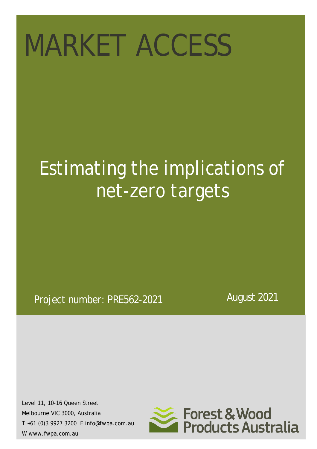# MARKET ACCESS

## *Estimating the implications of net-zero targets*

## Project number: PRE562-2021

August 2021

Level 11, 10-16 Queen Street Melbourne VIC 3000, Australia T +61 (0)3 9927 3200 E info@fwpa.com.au W www.fwpa.com.au

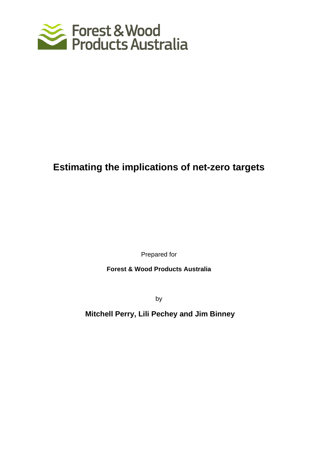

## **Estimating the implications of net-zero targets**

Prepared for

**Forest & Wood Products Australia**

by

**Mitchell Perry, Lili Pechey and Jim Binney**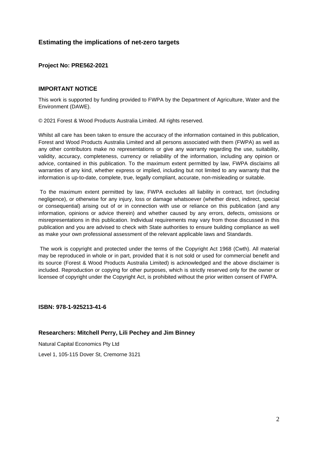#### **Estimating the implications of net-zero targets**

#### **Project No: PRE562-2021**

#### **IMPORTANT NOTICE**

This work is supported by funding provided to FWPA by the Department of Agriculture, Water and the Environment (DAWE).

© 2021 Forest & Wood Products Australia Limited. All rights reserved.

Whilst all care has been taken to ensure the accuracy of the information contained in this publication, Forest and Wood Products Australia Limited and all persons associated with them (FWPA) as well as any other contributors make no representations or give any warranty regarding the use, suitability, validity, accuracy, completeness, currency or reliability of the information, including any opinion or advice, contained in this publication. To the maximum extent permitted by law, FWPA disclaims all warranties of any kind, whether express or implied, including but not limited to any warranty that the information is up-to-date, complete, true, legally compliant, accurate, non-misleading or suitable.

To the maximum extent permitted by law, FWPA excludes all liability in contract, tort (including negligence), or otherwise for any injury, loss or damage whatsoever (whether direct, indirect, special or consequential) arising out of or in connection with use or reliance on this publication (and any information, opinions or advice therein) and whether caused by any errors, defects, omissions or misrepresentations in this publication. Individual requirements may vary from those discussed in this publication and you are advised to check with State authorities to ensure building compliance as well as make your own professional assessment of the relevant applicable laws and Standards.

The work is copyright and protected under the terms of the Copyright Act 1968 (Cwth). All material may be reproduced in whole or in part, provided that it is not sold or used for commercial benefit and its source (Forest & Wood Products Australia Limited) is acknowledged and the above disclaimer is included. Reproduction or copying for other purposes, which is strictly reserved only for the owner or licensee of copyright under the Copyright Act, is prohibited without the prior written consent of FWPA.

**ISBN: 978-1-925213-41-6**

#### **Researchers: Mitchell Perry, Lili Pechey and Jim Binney**

Natural Capital Economics Pty Ltd Level 1, 105-115 Dover St, Cremorne 3121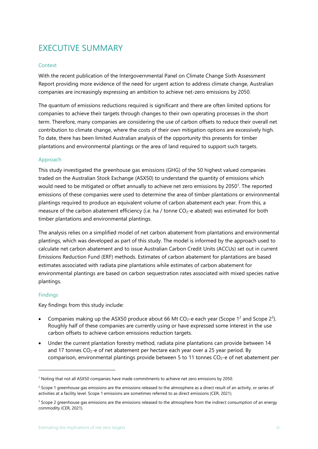## <span id="page-3-0"></span>EXECUTIVE SUMMARY

#### <span id="page-3-1"></span>**Context**

With the recent publication of the Intergovernmental Panel on Climate Change Sixth Assessment Report providing more evidence of the need for urgent action to address climate change, Australian companies are increasingly expressing an ambition to achieve net-zero emissions by 2050.

The quantum of emissions reductions required is significant and there are often limited options for companies to achieve their targets through changes to their own operating processes in the short term. Therefore, many companies are considering the use of carbon offsets to reduce their overall net contribution to climate change, where the costs of their own mitigation options are excessively high. To date, there has been limited Australian analysis of the opportunity this presents for timber plantations and environmental plantings or the area of land required to support such targets.

#### <span id="page-3-2"></span>Approach

This study investigated the greenhouse gas emissions (GHG) of the 50 highest valued companies traded on the Australian Stock Exchange (ASX50) to understand the quantity of emissions which would need to be mitigated or offset annually to achieve net zero emissions by 2050<sup>1</sup>. The reported emissions of these companies were used to determine the area of timber plantations or environmental plantings required to produce an equivalent volume of carbon abatement each year. From this, a measure of the carbon abatement efficiency (i.e. ha / tonne CO<sub>2</sub>-e abated) was estimated for both timber plantations and environmental plantings.

The analysis relies on a simplified model of net carbon abatement from plantations and environmental plantings, which was developed as part of this study. The model is informed by the approach used to calculate net carbon abatement and to issue Australian Carbon Credit Units (ACCUs) set out in current Emissions Reduction Fund (ERF) methods. Estimates of carbon abatement for plantations are based estimates associated with radiata pine plantations while estimates of carbon abatement for environmental plantings are based on carbon sequestration rates associated with mixed species native plantings.

#### <span id="page-3-3"></span>**Findings**

Key findings from this study include:

- Companies making up the ASX50 produce about 66 Mt CO<sub>2</sub>-e each year (Scope 1<sup>2</sup> and Scope 2<sup>3</sup>). Roughly half of these companies are currently using or have expressed some interest in the use carbon offsets to achieve carbon emissions reduction targets.
- Under the current plantation forestry method, radiata pine plantations can provide between 14 and 17 tonnes  $CO<sub>2</sub> - e$  of net abatement per hectare each year over a 25 year period. By comparison, environmental plantings provide between 5 to 11 tonnes  $CO<sub>2</sub>$ -e of net abatement per

<sup>1</sup> Noting that not all ASX50 companies have made commitments to achieve net zero emissions by 2050.

 $<sup>2</sup>$  Scope 1 greenhouse gas emissions are the emissions released to the atmosphere as a direct result of an activity, or series of</sup> activities at a facility level. Scope 1 emissions are sometimes referred to as direct emissions (CER, 2021).

<sup>&</sup>lt;sup>3</sup> Scope 2 greenhouse gas emissions are the emissions released to the atmosphere from the indirect consumption of an energy commodity (CER, 2021).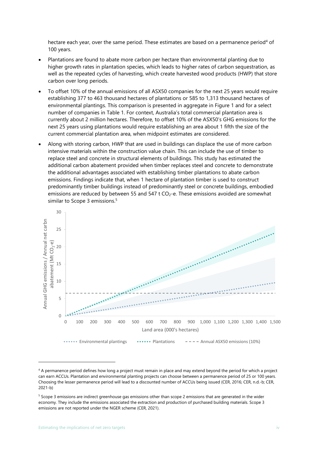hectare each year, over the same period. These estimates are based on a permanence period<sup>4</sup> of 100 years.

- Plantations are found to abate more carbon per hectare than environmental planting due to higher growth rates in plantation species, which leads to higher rates of carbon sequestration, as well as the repeated cycles of harvesting, which create harvested wood products (HWP) that store carbon over long periods.
- To offset 10% of the annual emissions of all ASX50 companies for the next 25 years would require establishing 377 to 463 thousand hectares of plantations or 585 to 1,313 thousand hectares of environmental plantings. This comparison is presented in aggregate in [Figure 1](#page-5-0) and for a select number of companies in [Table 1.](#page-6-0) For context, Australia's total commercial plantation area is currently about 2 million hectares. Therefore, to offset 10% of the ASX50's GHG emissions for the next 25 years using plantations would require establishing an area about 1 fifth the size of the current commercial plantation area, when midpoint estimates are considered.
- Along with storing carbon, HWP that are used in buildings can displace the use of more carbon intensive materials within the construction value chain. This can include the use of timber to replace steel and concrete in structural elements of buildings. This study has estimated the additional carbon abatement provided when timber replaces steel and concrete to demonstrate the additional advantages associated with establishing timber plantations to abate carbon emissions. Findings indicate that, when 1 hectare of plantation timber is used to construct predominantly timber buildings instead of predominantly steel or concrete buildings, embodied emissions are reduced by between 55 and 547  $t$  CO<sub>2</sub>-e. These emissions avoided are somewhat similar to Scope 3 emissions. 5



<sup>4</sup> A permanence period defines how long a project must remain in place and may extend beyond the period for which a project can earn ACCUs. Plantation and environmental planting projects can choose between a permanence period of 25 or 100 years. Choosing the lesser permanence period will lead to a discounted number of ACCUs being issued (CER, 2016; CER, n.d.-b; CER, 2021-b)

<sup>5</sup> Scope 3 emissions are indirect greenhouse gas emissions other than scope 2 emissions that are generated in the wider economy. They include the emissions associated the extraction and production of purchased building materials. Scope 3 emissions are not reported under the NGER scheme (CER, 2021).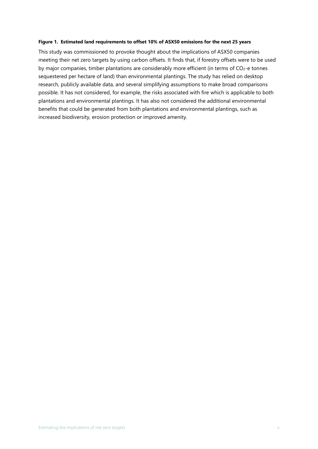#### <span id="page-5-0"></span>**Figure 1. Estimated land requirements to offset 10% of ASX50 emissions for the next 25 years**

This study was commissioned to provoke thought about the implications of ASX50 companies meeting their net zero targets by using carbon offsets. It finds that, if forestry offsets were to be used by major companies, timber plantations are considerably more efficient (in terms of  $CO<sub>2</sub>$ -e tonnes sequestered per hectare of land) than environmental plantings. The study has relied on desktop research, publicly available data, and several simplifying assumptions to make broad comparisons possible. It has not considered, for example, the risks associated with fire which is applicable to both plantations and environmental plantings. It has also not considered the additional environmental benefits that could be generated from both plantations and environmental plantings, such as increased biodiversity, erosion protection or improved amenity.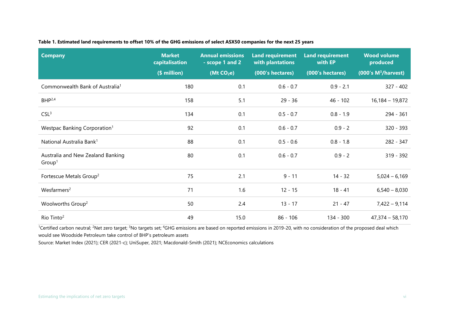|  |  |  | Table 1. Estimated land requirements to offset 10% of the GHG emissions of select ASX50 companies for the next 25 years |  |
|--|--|--|-------------------------------------------------------------------------------------------------------------------------|--|
|  |  |  |                                                                                                                         |  |

| <b>Company</b>                                          | <b>Market</b><br>capitalisation<br>(\$ million) | <b>Annual emissions</b><br>- scope 1 and 2<br>(Mt CO <sub>2</sub> e) | <b>Land requirement</b><br>with plantations<br>(000's hectares) | <b>Land requirement</b><br>with EP<br>(000's hectares) | <b>Wood volume</b><br>produced<br>(000's M <sup>3</sup> /harvest) |
|---------------------------------------------------------|-------------------------------------------------|----------------------------------------------------------------------|-----------------------------------------------------------------|--------------------------------------------------------|-------------------------------------------------------------------|
| Commonwealth Bank of Australia <sup>1</sup>             | 180                                             | 0.1                                                                  | $0.6 - 0.7$                                                     | $0.9 - 2.1$                                            | $327 - 402$                                                       |
| $BHP^{2,4}$                                             | 158                                             | 5.1                                                                  | $29 - 36$                                                       | $46 - 102$                                             | $16,184 - 19,872$                                                 |
| CSL <sup>3</sup>                                        | 134                                             | 0.1                                                                  | $0.5 - 0.7$                                                     | $0.8 - 1.9$                                            | $294 - 361$                                                       |
| Westpac Banking Corporation <sup>1</sup>                | 92                                              | 0.1                                                                  | $0.6 - 0.7$                                                     | $0.9 - 2$                                              | $320 - 393$                                                       |
| National Australia Bank <sup>1</sup>                    | 88                                              | 0.1                                                                  | $0.5 - 0.6$                                                     | $0.8 - 1.8$                                            | 282 - 347                                                         |
| Australia and New Zealand Banking<br>Group <sup>1</sup> | 80                                              | 0.1                                                                  | $0.6 - 0.7$                                                     | $0.9 - 2$                                              | $319 - 392$                                                       |
| Fortescue Metals Group <sup>2</sup>                     | 75                                              | 2.1                                                                  | $9 - 11$                                                        | $14 - 32$                                              | $5,024 - 6,169$                                                   |
| Wesfarmers <sup>2</sup>                                 | 71                                              | 1.6                                                                  | $12 - 15$                                                       | $18 - 41$                                              | $6,540 - 8,030$                                                   |
| Woolworths Group <sup>2</sup>                           | 50                                              | 2.4                                                                  | $13 - 17$                                                       | $21 - 47$                                              | $7,422 - 9,114$                                                   |
| Rio Tinto <sup>2</sup>                                  | 49                                              | 15.0                                                                 | $86 - 106$                                                      | 134 - 300                                              | $47,374 - 58,170$                                                 |

<span id="page-6-0"></span><sup>1</sup>Certified carbon neutral; <sup>2</sup>Net zero target; <sup>3</sup>No targets set; <sup>4</sup>GHG emissions are based on reported emissions in 2019-20, with no consideration of the proposed deal which would see Woodside Petroleum take control of BHP's petroleum assets

Source: Market Index (2021); CER (2021-c); UniSuper, 2021; Macdonald-Smith (2021); NCEconomics calculations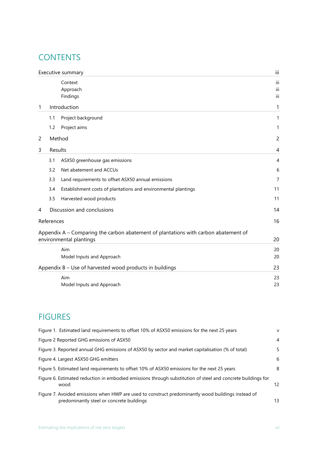## **CONTENTS**

|   |            | Executive summary                                                                                              | iii               |
|---|------------|----------------------------------------------------------------------------------------------------------------|-------------------|
|   |            | Context<br>Approach<br>Findings                                                                                | iii<br>iii<br>iii |
| 1 |            | Introduction                                                                                                   | 1                 |
|   | 1.1        | Project background                                                                                             | 1                 |
|   | 1.2        | Project aims                                                                                                   | 1                 |
| 2 |            | Method                                                                                                         | $\overline{c}$    |
| 3 | Results    |                                                                                                                | 4                 |
|   | 3.1        | ASX50 greenhouse gas emissions                                                                                 | $\overline{4}$    |
|   | 3.2        | Net abatement and ACCUs                                                                                        | 6                 |
|   | 3.3        | Land requirements to offset ASX50 annual emissions                                                             | $\overline{7}$    |
|   | 3.4        | Establishment costs of plantations and environmental plantings                                                 | 11                |
|   | 3.5        | Harvested wood products                                                                                        | 11                |
| 4 |            | Discussion and conclusions                                                                                     | 14                |
|   | References |                                                                                                                | 16                |
|   |            | Appendix A - Comparing the carbon abatement of plantations with carbon abatement of<br>environmental plantings | 20                |
|   |            | Aim<br>Model Inputs and Approach                                                                               | 20<br>20          |
|   |            | Appendix B - Use of harvested wood products in buildings                                                       | 23                |
|   |            | Aim<br>Model Inputs and Approach                                                                               | 23<br>23          |

## FIGURES

| Figure 1. Estimated land requirements to offset 10% of ASX50 emissions for the next 25 years                                                    | $\mathsf{V}$   |
|-------------------------------------------------------------------------------------------------------------------------------------------------|----------------|
| Figure 2 Reported GHG emissions of ASX50                                                                                                        | $\overline{4}$ |
| Figure 3. Reported annual GHG emissions of ASX50 by sector and market capitalisation (% of total)                                               | 5              |
| Figure 4. Largest ASX50 GHG emitters                                                                                                            | 6              |
| Figure 5. Estimated land requirements to offset 10% of ASX50 emissions for the next 25 years                                                    | 8              |
| Figure 6. Estimated reduction in embodied emissions through substitution of steel and concrete buildings for<br>wood                            | 12             |
| Figure 7. Avoided emissions when HWP are used to construct predominantly wood buildings instead of<br>predominantly steel or concrete buildings | 13             |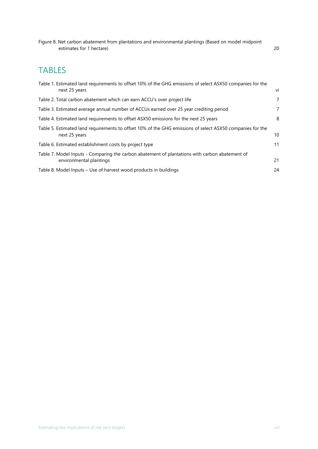[Figure 8. Net carbon abatement from plantations and environmental plantings \(Based on model midpoint](#page-28-3)  [estimates for 1 hectare\)](#page-28-3) 20

## TABLES

| Table 1. Estimated land requirements to offset 10% of the GHG emissions of select ASX50 companies for the                  |    |
|----------------------------------------------------------------------------------------------------------------------------|----|
| next 25 years                                                                                                              | vi |
| Table 2. Total carbon abatement which can earn ACCU's over project life                                                    | 7  |
| Table 3. Estimated average annual number of ACCUs earned over 25 year crediting period                                     | 7  |
| Table 4. Estimated land requirements to offset ASX50 emissions for the next 25 years                                       | 8  |
| Table 5. Estimated land requirements to offset 10% of the GHG emissions of select ASX50 companies for the<br>next 25 years | 10 |
| Table 6. Estimated establishment costs by project type                                                                     | 11 |
| Table 7. Model Inputs - Comparing the carbon abatement of plantations with carbon abatement of<br>environmental plantings  | 21 |
| Table 8. Model Inputs – Use of harvest wood products in buildings                                                          | 24 |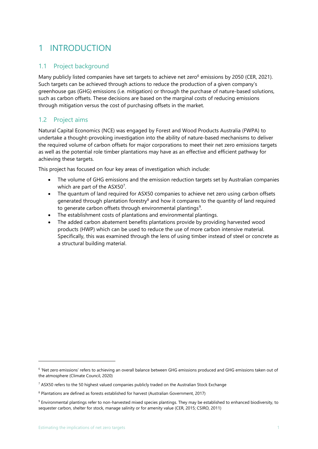## <span id="page-9-0"></span>1 INTRODUCTION

#### <span id="page-9-1"></span>1.1 Project background

Many publicly listed companies have set targets to achieve net zero<sup>6</sup> emissions by 2050 (CER, 2021). Such targets can be achieved through actions to reduce the production of a given company's greenhouse gas (GHG) emissions (i.e. mitigation) or through the purchase of nature-based solutions, such as carbon offsets. These decisions are based on the marginal costs of reducing emissions through mitigation versus the cost of purchasing offsets in the market.

#### <span id="page-9-2"></span>1.2 Project aims

Natural Capital Economics (NCE) was engaged by Forest and Wood Products Australia (FWPA) to undertake a thought-provoking investigation into the ability of nature-based mechanisms to deliver the required volume of carbon offsets for major corporations to meet their net zero emissions targets as well as the potential role timber plantations may have as an effective and efficient pathway for achieving these targets.

This project has focused on four key areas of investigation which include:

- The volume of GHG emissions and the emission reduction targets set by Australian companies which are part of the ASX50<sup>7</sup>.
- The quantum of land required for ASX50 companies to achieve net zero using carbon offsets generated through plantation forestry<sup>8</sup> and how it compares to the quantity of land required to generate carbon offsets through environmental plantings<sup>9</sup>.
- The establishment costs of plantations and environmental plantings.
- The added carbon abatement benefits plantations provide by providing harvested wood products (HWP) which can be used to reduce the use of more carbon intensive material. Specifically, this was examined through the lens of using timber instead of steel or concrete as a structural building material.

<sup>&</sup>lt;sup>6</sup> 'Net zero emissions' refers to achieving an overall balance between GHG emissions produced and GHG emissions taken out of the atmosphere (Climate Council, 2020)

 $7$  ASX50 refers to the 50 highest valued companies publicly traded on the Australian Stock Exchange

<sup>&</sup>lt;sup>8</sup> Plantations are defined as forests established for harvest (Australian Government, 2017)

<sup>9</sup> Environmental plantings refer to non-harvested mixed species plantings. They may be established to enhanced biodiversity, to sequester carbon, shelter for stock, manage salinity or for amenity value (CER, 2015; CSIRO, 2011)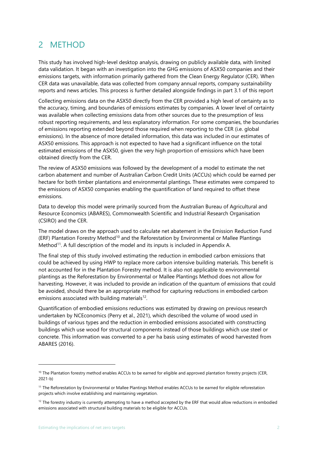## <span id="page-10-0"></span>2 METHOD

This study has involved high-level desktop analysis, drawing on publicly available data, with limited data validation. It began with an investigation into the GHG emissions of ASX50 companies and their emissions targets, with information primarily gathered from the Clean Energy Regulator (CER). When CER data was unavailable, data was collected from company annual reports, company sustainability reports and news articles. This process is further detailed alongside findings in part [3.1](#page-12-1) of this report

Collecting emissions data on the ASX50 directly from the CER provided a high level of certainty as to the accuracy, timing, and boundaries of emissions estimates by companies. A lower level of certainty was available when collecting emissions data from other sources due to the presumption of less robust reporting requirements, and less explanatory information. For some companies, the boundaries of emissions reporting extended beyond those required when reporting to the CER (i.e. global emissions). In the absence of more detailed information, this data was included in our estimates of ASX50 emissions. This approach is not expected to have had a significant influence on the total estimated emissions of the ASX50, given the very high proportion of emissions which have been obtained directly from the CER.

The review of ASX50 emissions was followed by the development of a model to estimate the net carbon abatement and number of Australian Carbon Credit Units (ACCUs) which could be earned per hectare for both timber plantations and environmental plantings. These estimates were compared to the emissions of ASX50 companies enabling the quantification of land required to offset these emissions.

Data to develop this model were primarily sourced from the Australian Bureau of Agricultural and Resource Economics (ABARES), Commonwealth Scientific and Industrial Research Organisation (CSIRO) and the CER.

The model draws on the approach used to calculate net abatement in the Emission Reduction Fund (ERF) Plantation Forestry Method<sup>10</sup> and the Reforestation by Environmental or Mallee Plantings Method<sup>11</sup>. A full description of the model and its inputs is included in Appendix A.

The final step of this study involved estimating the reduction in embodied carbon emissions that could be achieved by using HWP to replace more carbon intensive building materials. This benefit is not accounted for in the Plantation Forestry method. It is also not applicable to environmental plantings as the Reforestation by Environmental or Mallee Plantings Method does not allow for harvesting. However, it was included to provide an indication of the quantum of emissions that could be avoided, should there be an appropriate method for capturing reductions in embodied carbon emissions associated with building materials $12$ .

Quantification of embodied emissions reductions was estimated by drawing on previous research undertaken by NCEconomics (Perry et al., 2021), which described the volume of wood used in buildings of various types and the reduction in embodied emissions associated with constructing buildings which use wood for structural components instead of those buildings which use steel or concrete. This information was converted to a per ha basis using estimates of wood harvested from ABARES (2016).

<sup>&</sup>lt;sup>10</sup> The Plantation forestry method enables ACCUs to be earned for eligible and approved plantation forestry projects (CER, 2021-b)

<sup>&</sup>lt;sup>11</sup> The Reforestation by Environmental or Mallee Plantings Method enables ACCUs to be earned for eligible reforestation projects which involve establishing and maintaining vegetation.

 $12$  The forestry industry is currently attempting to have a method accepted by the ERF that would allow reductions in embodied emissions associated with structural building materials to be eligible for ACCUs.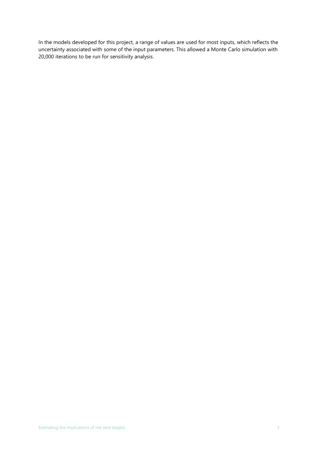In the models developed for this project, a range of values are used for most inputs, which reflects the uncertainty associated with some of the input parameters. This allowed a Monte Carlo simulation with 20,000 iterations to be run for sensitivity analysis.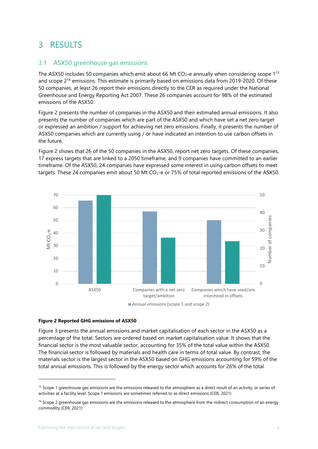## <span id="page-12-0"></span>3 RESULTS

#### <span id="page-12-1"></span>3.1 ASX50 greenhouse gas emissions

The ASX50 includes 50 companies which emit about 66 Mt  $CO<sub>2</sub>$ -e annually when considering scope  $1<sup>13</sup>$ and scope 2<sup>14</sup> emissions. This estimate is primarily based on emissions data from 2019-2020. Of these 50 companies, at least 26 report their emissions directly to the CER as required under the National Greenhouse and Energy Reporting Act 2007. These 26 companies account for 98% of the estimated emissions of the ASX50.

[Figure 2](#page-12-2) presents the number of companies in the ASX50 and their estimated annual emissions. It also presents the number of companies which are part of the ASX50 and which have set a net zero target or expressed an ambition / support for achieving net zero emissions. Finally, it presents the number of ASX50 companies which are currently using / or have indicated an intention to use carbon offsets in the future.

[Figure 2](#page-12-2) shows that 26 of the 50 companies in the ASX50, report net zero targets. Of these companies, 17 express targets that are linked to a 2050 timeframe, and 9 companies have committed to an earlier timeframe. Of the ASX50, 24 companies have expressed some interest in using carbon offsets to meet targets. These 24 companies emit about 50 Mt  $CO<sub>2</sub>$ -e or 75% of total reported emissions of the ASX50.



#### <span id="page-12-2"></span>**Figure 2 Reported GHG emissions of ASX50**

[Figure 3](#page-13-0) presents the annual emissions and market capitalisation of each sector in the ASX50 as a percentage of the total. Sectors are ordered based on market capitalisation value. It shows that the financial sector is the most valuable sector, accounting for 35% of the total value within the ASX50. The financial sector is followed by materials and health care in terms of total value. By contrast, the materials sector is the largest sector in the ASX50 based on GHG emissions accounting for 59% of the total annual emissions. This is followed by the energy sector which accounts for 26% of the total

 $13$  Scope 1 greenhouse gas emissions are the emissions released to the atmosphere as a direct result of an activity, or series of activities at a facility level. Scope 1 emissions are sometimes referred to as direct emissions (CER, 2021)

<sup>&</sup>lt;sup>14</sup> Scope 2 greenhouse gas emissions are the emissions released to the atmosphere from the indirect consumption of an energy commodity (CER, 2021)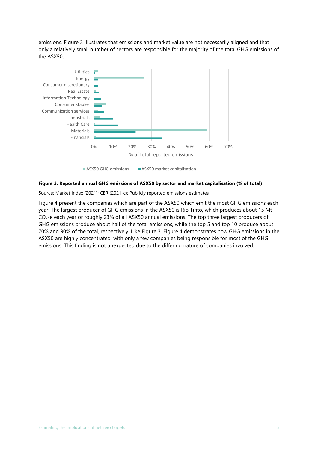emissions. [Figure 3](#page-13-0) illustrates that emissions and market value are not necessarily aligned and that only a relatively small number of sectors are responsible for the majority of the total GHG emissions of the ASX50.



#### <span id="page-13-0"></span>**Figure 3. Reported annual GHG emissions of ASX50 by sector and market capitalisation (% of total)**

Source: Market Index (2021); CER (2021-c); Publicly reported emissions estimates

[Figure 4](#page-14-1) present the companies which are part of the ASX50 which emit the most GHG emissions each year. The largest producer of GHG emissions in the ASX50 is Rio Tinto, which produces about 15 Mt CO2-e each year or roughly 23% of all ASX50 annual emissions. The top three largest producers of GHG emissions produce about half of the total emissions, while the top 5 and top 10 produce about 70% and 90% of the total, respectively. Like [Figure 3,](#page-13-0) [Figure 4](#page-14-1) demonstrates how GHG emissions in the ASX50 are highly concentrated, with only a few companies being responsible for most of the GHG emissions. This finding is not unexpected due to the differing nature of companies involved.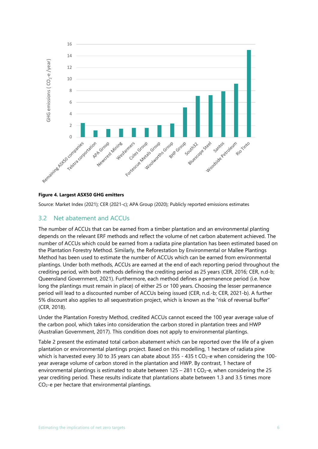

#### <span id="page-14-1"></span>**Figure 4. Largest ASX50 GHG emitters**

Source: Market Index (2021); CER (2021-c); APA Group (2020); Publicly reported emissions estimates

#### <span id="page-14-0"></span>3.2 Net abatement and ACCUs

The number of ACCUs that can be earned from a timber plantation and an environmental planting depends on the relevant ERF methods and reflect the volume of net carbon abatement achieved. The number of ACCUs which could be earned from a radiata pine plantation has been estimated based on the Plantation Forestry Method. Similarly, the Reforestation by Environmental or Mallee Plantings Method has been used to estimate the number of ACCUs which can be earned from environmental plantings. Under both methods, ACCUs are earned at the end of each reporting period throughout the crediting period, with both methods defining the crediting period as 25 years (CER, 2016; CER, n.d-b; Queensland Government, 2021). Furthermore, each method defines a permanence period (i.e. how long the plantings must remain in place) of either 25 or 100 years. Choosing the lesser permanence period will lead to a discounted number of ACCUs being issued (CER, n.d.-b; CER, 2021-b). A further 5% discount also applies to all sequestration project, which is known as the "risk of reversal buffer" (CER, 2018).

Under the Plantation Forestry Method, credited ACCUs cannot exceed the 100 year average value of the carbon pool, which takes into consideration the carbon stored in plantation trees and HWP (Australian Government, 2017). This condition does not apply to environmental plantings.

[Table 2](#page-15-1) present the estimated total carbon abatement which can be reported over the life of a given plantation or environmental plantings project. Based on this modelling, 1 hectare of radiata pine which is harvested every 30 to 35 years can abate about  $355 - 435$  t  $CO<sub>2</sub>$ -e when considering the 100year average volume of carbon stored in the plantation and HWP. By contrast, 1 hectare of environmental plantings is estimated to abate between  $125 - 281$  t  $CO<sub>2</sub> - e$ , when considering the 25 year crediting period. These results indicate that plantations abate between 1.3 and 3.5 times more  $CO<sub>2</sub>$ -e per hectare that environmental plantings.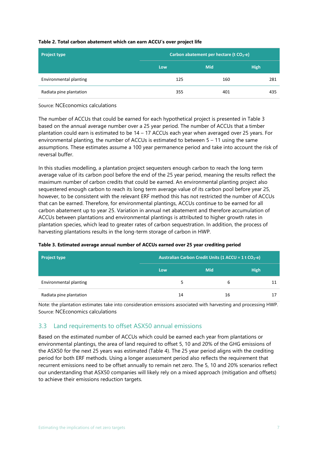#### <span id="page-15-1"></span>**Table 2. Total carbon abatement which can earn ACCU's over project life**

| <b>Project type</b>     | Carbon abatement per hectare (t CO <sub>2</sub> -e) |            |             |  |  |  |  |
|-------------------------|-----------------------------------------------------|------------|-------------|--|--|--|--|
|                         | Low                                                 | <b>Mid</b> | <b>High</b> |  |  |  |  |
| Environmental planting  | 125                                                 | 160        | 281         |  |  |  |  |
| Radiata pine plantation | 355                                                 | 401        | 435         |  |  |  |  |

Source: NCEconomics calculations

The number of ACCUs that could be earned for each hypothetical project is presented in [Table 3](#page-15-2) based on the annual average number over a 25 year period. The number of ACCUs that a timber plantation could earn is estimated to be 14 – 17 ACCUs each year when averaged over 25 years. For environmental planting, the number of ACCUs is estimated to between  $5 - 11$  using the same assumptions. These estimates assume a 100 year permanence period and take into account the risk of reversal buffer.

In this studies modelling, a plantation project sequesters enough carbon to reach the long term average value of its carbon pool before the end of the 25 year period, meaning the results reflect the maximum number of carbon credits that could be earned. An environmental planting project also sequestered enough carbon to reach its long term average value of its carbon pool before year 25, however, to be consistent with the relevant ERF method this has not restricted the number of ACCUs that can be earned. Therefore, for environmental plantings, ACCUs continue to be earned for all carbon abatement up to year 25. Variation in annual net abatement and therefore accumulation of ACCUs between plantations and environmental plantings is attributed to higher growth rates in plantation species, which lead to greater rates of carbon sequestration. In addition, the process of harvesting plantations results in the long-term storage of carbon in HWP.

| <b>Project type</b>     | Australian Carbon Credit Units (1 ACCU = 1 t CO <sub>2</sub> -e) |            |             |  |  |
|-------------------------|------------------------------------------------------------------|------------|-------------|--|--|
|                         | Low                                                              | <b>Mid</b> | <b>High</b> |  |  |
| Environmental planting  | 5                                                                | 6          |             |  |  |
| Radiata pine plantation | 14                                                               | 16         |             |  |  |

<span id="page-15-2"></span>**Table 3. Estimated average annual number of ACCUs earned over 25 year crediting period**

Note: the plantation estimates take into consideration emissions associated with harvesting and processing HWP. Source: NCEconomics calculations

#### <span id="page-15-0"></span>3.3 Land requirements to offset ASX50 annual emissions

Based on the estimated number of ACCUs which could be earned each year from plantations or environmental plantings, the area of land required to offset 5, 10 and 20% of the GHG emissions of the ASX50 for the next 25 years was estimated [\(Table 4\)](#page-16-1). The 25 year period aligns with the crediting period for both ERF methods. Using a longer assessment period also reflects the requirement that recurrent emissions need to be offset annually to remain net zero. The 5, 10 and 20% scenarios reflect our understanding that ASX50 companies will likely rely on a mixed approach (mitigation and offsets) to achieve their emissions reduction targets.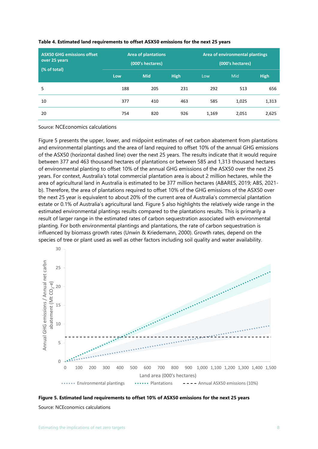| <b>ASX50 GHG emissions offset</b><br>over 25 years<br>(% of total) |     | <b>Area of plantations</b><br>(000's hectares) |             | Area of environmental plantings<br>(000's hectares) |       |             |  |
|--------------------------------------------------------------------|-----|------------------------------------------------|-------------|-----------------------------------------------------|-------|-------------|--|
|                                                                    | Low | <b>Mid</b>                                     | <b>High</b> | Low                                                 | Mid   | <b>High</b> |  |
| 5                                                                  | 188 | 205                                            | 231         | 292                                                 | 513   | 656         |  |
| 10                                                                 | 377 | 410                                            | 463         | 585                                                 | 1,025 | 1,313       |  |
| 20                                                                 | 754 | 820                                            | 926         | 1,169                                               | 2,051 | 2,625       |  |

#### <span id="page-16-1"></span>**Table 4. Estimated land requirements to offset ASX50 emissions for the next 25 years**

Source: NCEconomics calculations

[Figure 5](#page-16-0) presents the upper, lower, and midpoint estimates of net carbon abatement from plantations and environmental plantings and the area of land required to offset 10% of the annual GHG emissions of the ASX50 (horizontal dashed line) over the next 25 years. The results indicate that it would require between 377 and 463 thousand hectares of plantations or between 585 and 1,313 thousand hectares of environmental planting to offset 10% of the annual GHG emissions of the ASX50 over the next 25 years. For context, Australia's total commercial plantation area is about 2 million hectares, while the area of agricultural land in Australia is estimated to be 377 million hectares (ABARES, 2019; ABS, 2021 b). Therefore, the area of plantations required to offset 10% of the GHG emissions of the ASX50 over the next 25 year is equivalent to about 20% of the current area of Australia's commercial plantation estate or 0.1% of Australia's agricultural land. [Figure 5](#page-16-0) also highlights the relatively wide range in the estimated environmental plantings results compared to the plantations results. This is primarily a result of larger range in the estimated rates of carbon sequestration associated with environmental planting. For both environmental plantings and plantations, the rate of carbon sequestration is influenced by biomass growth rates (Unwin & Kriedemann, 2000). Growth rates, depend on the species of tree or plant used as well as other factors including soil quality and water availability.



<span id="page-16-0"></span>**Figure 5. Estimated land requirements to offset 10% of ASX50 emissions for the next 25 years** Source: NCEconomics calculations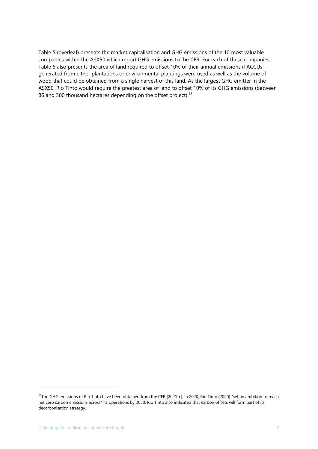[Table 5](#page-18-0) (overleaf) presents the market capitalisation and GHG emissions of the 10 most valuable companies within the ASX50 which report GHG emissions to the CER. For each of these companies [Table 5](#page-18-0) also presents the area of land required to offset 10% of their annual emissions if ACCUs generated from either plantations or environmental plantings were used as well as the volume of wood that could be obtained from a single harvest of this land. As the largest GHG emitter in the ASX50, Rio Tinto would require the greatest area of land to offset 10% of its GHG emissions (between 86 and 300 thousand hectares depending on the offset project).<sup>15</sup>

<sup>&</sup>lt;sup>15</sup>The GHG emissions of Rio Tinto have been obtained from the CER (2021-c). In 2020, Rio Tinto (2020) "set an ambition to reach net zero carbon emissions across" its operations by 2050. Rio Tinto also indicated that carbon offsets will form part of its decarbonisation strategy.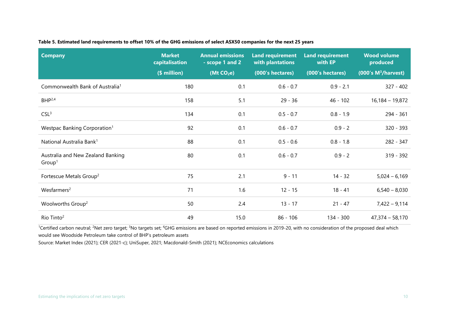#### **Table 5. Estimated land requirements to offset 10% of the GHG emissions of select ASX50 companies for the next 25 years**

| <b>Company</b>                                          | <b>Market</b><br>capitalisation<br>(\$ million) | <b>Annual emissions</b><br>- scope 1 and 2<br>(Mt CO <sub>2</sub> e) | <b>Land requirement</b><br>with plantations<br>(000's hectares) | <b>Land requirement</b><br>with EP<br>(000's hectares) | <b>Wood volume</b><br>produced<br>(000's M <sup>3</sup> /harvest) |
|---------------------------------------------------------|-------------------------------------------------|----------------------------------------------------------------------|-----------------------------------------------------------------|--------------------------------------------------------|-------------------------------------------------------------------|
| Commonwealth Bank of Australia <sup>1</sup>             | 180                                             | 0.1                                                                  | $0.6 - 0.7$                                                     | $0.9 - 2.1$                                            | $327 - 402$                                                       |
| $BHP^{2,4}$                                             | 158                                             | 5.1                                                                  | $29 - 36$                                                       | $46 - 102$                                             | $16,184 - 19,872$                                                 |
| CSL <sup>3</sup>                                        | 134                                             | 0.1                                                                  | $0.5 - 0.7$                                                     | $0.8 - 1.9$                                            | 294 - 361                                                         |
| Westpac Banking Corporation <sup>1</sup>                | 92                                              | 0.1                                                                  | $0.6 - 0.7$                                                     | $0.9 - 2$                                              | 320 - 393                                                         |
| National Australia Bank <sup>1</sup>                    | 88                                              | 0.1                                                                  | $0.5 - 0.6$                                                     | $0.8 - 1.8$                                            | 282 - 347                                                         |
| Australia and New Zealand Banking<br>Group <sup>1</sup> | 80                                              | 0.1                                                                  | $0.6 - 0.7$                                                     | $0.9 - 2$                                              | $319 - 392$                                                       |
| Fortescue Metals Group <sup>2</sup>                     | 75                                              | 2.1                                                                  | $9 - 11$                                                        | $14 - 32$                                              | $5,024 - 6,169$                                                   |
| Wes farmers <sup>2</sup>                                | 71                                              | 1.6                                                                  | $12 - 15$                                                       | $18 - 41$                                              | $6,540 - 8,030$                                                   |
| Woolworths Group <sup>2</sup>                           | 50                                              | 2.4                                                                  | $13 - 17$                                                       | $21 - 47$                                              | $7,422 - 9,114$                                                   |
| Rio Tinto <sup>2</sup>                                  | 49                                              | 15.0                                                                 | $86 - 106$                                                      | 134 - 300                                              | $47,374 - 58,170$                                                 |

<span id="page-18-0"></span><sup>1</sup>Certified carbon neutral; <sup>2</sup>Net zero target; <sup>3</sup>No targets set; <sup>4</sup>GHG emissions are based on reported emissions in 2019-20, with no consideration of the proposed deal which would see Woodside Petroleum take control of BHP's petroleum assets

Source: Market Index (2021); CER (2021-c); UniSuper, 2021; Macdonald-Smith (2021); NCEconomics calculations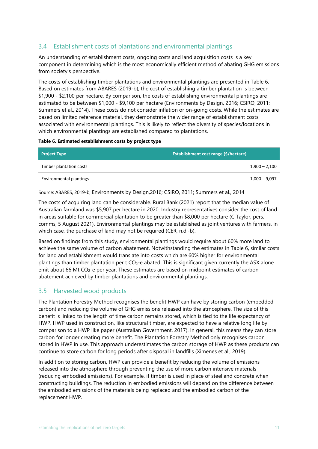#### <span id="page-19-0"></span>3.4 Establishment costs of plantations and environmental plantings

An understanding of establishment costs, ongoing costs and land acquisition costs is a key component in determining which is the most economically efficient method of abating GHG emissions from society's perspective.

The costs of establishing timber plantations and environmental plantings are presented in [Table 6.](#page-19-2) Based on estimates from ABARES (2019-b), the cost of establishing a timber plantation is between \$1,900 - \$2,100 per hectare. By comparison, the costs of establishing environmental plantings are estimated to be between \$1,000 - \$9,100 per hectare (Environments by Design, 2016; CSIRO, 2011; Summers et al., 2014). These costs do not consider inflation or on-going costs. While the estimates are based on limited reference material, they demonstrate the wider range of establishment costs associated with environmental plantings. This is likely to reflect the diversity of species/locations in which environmental plantings are established compared to plantations.

#### <span id="page-19-2"></span>**Table 6. Estimated establishment costs by project type**

| <b>Project Type</b>     | <b>Establishment cost range (\$/hectare)</b> |
|-------------------------|----------------------------------------------|
| Timber plantation costs | $1,900 - 2,100$                              |
| Environmental plantings | $1,000 - 9,097$                              |

Source: ABARES, 2019-b; Environments by Design,2016; CSIRO, 2011; Summers et al., 2014

The costs of acquiring land can be considerable. Rural Bank (2021) report that the median value of Australian farmland was \$5,907 per hectare in 2020. Industry representatives consider the cost of land in areas suitable for commercial plantation to be greater than \$8,000 per hectare (C Taylor, pers. comms, 5 August 2021). Environmental plantings may be established as joint ventures with farmers, in which case, the purchase of land may not be required (CER, n.d.-b).

Based on findings from this study, environmental plantings would require about 60% more land to achieve the same volume of carbon abatement. Notwithstanding the estimates in [Table 6,](#page-19-2) similar costs for land and establishment would translate into costs which are 60% higher for environmental plantings than timber plantation per  $t CO<sub>2</sub>$ -e abated. This is significant given currently the ASX alone emit about 66 Mt CO<sub>2</sub>-e per year. These estimates are based on midpoint estimates of carbon abatement achieved by timber plantations and environmental plantings.

#### <span id="page-19-1"></span>3.5 Harvested wood products

The Plantation Forestry Method recognises the benefit HWP can have by storing carbon (embedded carbon) and reducing the volume of GHG emissions released into the atmosphere. The size of this benefit is linked to the length of time carbon remains stored, which is tied to the life expectancy of HWP. HWP used in construction, like structural timber, are expected to have a relative long life by comparison to a HWP like paper (Australian Government, 2017). In general, this means they can store carbon for longer creating more benefit. The Plantation Forestry Method only recognises carbon stored in HWP in use. This approach underestimates the carbon storage of HWP as these products can continue to store carbon for long periods after disposal in landfills (Ximenes et al., 2019).

In addition to storing carbon, HWP can provide a benefit by reducing the volume of emissions released into the atmosphere through preventing the use of more carbon intensive materials (reducing embodied emissions). For example, if timber is used in place of steel and concrete when constructing buildings. The reduction in embodied emissions will depend on the difference between the embodied emissions of the materials being replaced and the embodied carbon of the replacement HWP.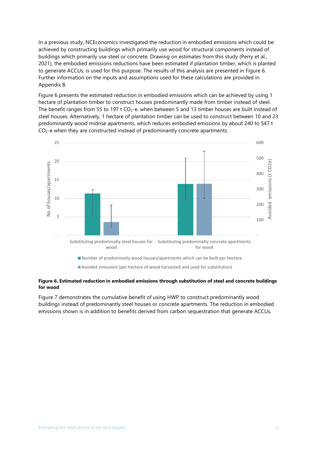In a previous study, NCEconomics investigated the reduction in embodied emissions which could be achieved by constructing buildings which primarily use wood for structural components instead of buildings which primarily use steel or concrete. Drawing on estimates from this study (Perry et al., 2021), the embodied emissions reductions have been estimated if plantation timber, which is planted to generate ACCUs, is used for this purpose. The results of this analysis are presented in [Figure 6.](#page-20-0)  Further information on the inputs and assumptions used for these calculations are provided in Appendix B.

[Figure 6](#page-20-0) presents the estimated reduction in embodied emissions which can be achieved by using 1 hectare of plantation timber to construct houses predominantly made from timber instead of steel. The benefit ranges from 55 to 197 t  $CO<sub>2</sub>$ -e. when between 5 and 13 timber houses are built instead of steel houses. Alternatively, 1 hectare of plantation timber can be used to construct between 10 and 23 predominantly wood midrise apartments, which reduces embodied emissions by about 240 to 547 t CO2-e when they are constructed instead of predominantly concrete apartments.



#### <span id="page-20-0"></span>**Figure 6. Estimated reduction in embodied emissions through substitution of steel and concrete buildings for wood**

[Figure 7](#page-21-0) demonstrates the cumulative benefit of using HWP to construct predominantly wood buildings instead of predominantly steel houses or concrete apartments. The reduction in embodied emissions shown is in addition to benefits derived from carbon sequestration that generate ACCUs.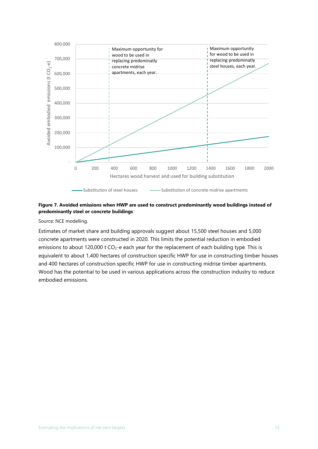

#### <span id="page-21-0"></span>**Figure 7. Avoided emissions when HWP are used to construct predominantly wood buildings instead of predominantly steel or concrete buildings**

Source: NCE modelling.

Estimates of market share and building approvals suggest about 15,500 steel houses and 5,000 concrete apartments were constructed in 2020. This limits the potential reduction in embodied emissions to about 120,000 t CO<sub>2</sub>-e each year for the replacement of each building type. This is equivalent to about 1,400 hectares of construction specific HWP for use in constructing timber houses and 400 hectares of construction specific HWP for use in constructing midrise timber apartments. Wood has the potential to be used in various applications across the construction industry to reduce embodied emissions.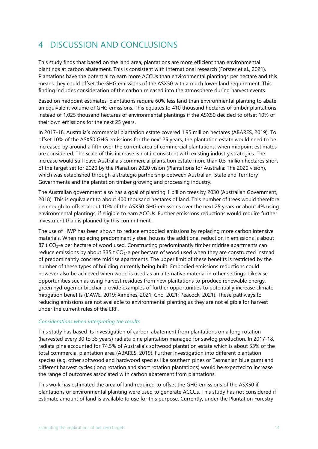## <span id="page-22-0"></span>4 DISCUSSION AND CONCLUSIONS

This study finds that based on the land area, plantations are more efficient than environmental plantings at carbon abatement. This is consistent with international research (Forster et al., 2021). Plantations have the potential to earn more ACCUs than environmental plantings per hectare and this means they could offset the GHG emissions of the ASX50 with a much lower land requirement. This finding includes consideration of the carbon released into the atmosphere during harvest events.

Based on midpoint estimates, plantations require 60% less land than environmental planting to abate an equivalent volume of GHG emissions. This equates to 410 thousand hectares of timber plantations instead of 1,025 thousand hectares of environmental plantings if the ASX50 decided to offset 10% of their own emissions for the next 25 years.

In 2017-18, Australia's commercial plantation estate covered 1.95 million hectares (ABARES, 2019). To offset 10% of the ASX50 GHG emissions for the next 25 years, the plantation estate would need to be increased by around a fifth over the current area of commercial plantations, when midpoint estimates are considered. The scale of this increase is not inconsistent with existing industry strategies. The increase would still leave Australia's commercial plantation estate more than 0.5 million hectares short of the target set for 2020 by the Planation 2020 vision (Plantations for Australia: The 2020 vision), which was established through a strategic partnership between Australian, State and Territory Governments and the plantation timber growing and processing industry.

The Australian government also has a goal of planting 1 billion trees by 2030 (Australian Government, 2018). This is equivalent to about 400 thousand hectares of land. This number of trees would therefore be enough to offset about 10% of the ASX50 GHG emissions over the next 25 years or about 4% using environmental plantings, if eligible to earn ACCUs. Further emissions reductions would require further investment than is planned by this commitment.

The use of HWP has been shown to reduce embodied emissions by replacing more carbon intensive materials. When replacing predominantly steel houses the additional reduction in emissions is about 87 t  $CO<sub>2</sub>$ -e per hectare of wood used. Constructing predominantly timber midrise apartments can reduce emissions by about 335 t  $CO<sub>2</sub>$ -e per hectare of wood used when they are constructed instead of predominantly concrete midrise apartments. The upper limit of these benefits is restricted by the number of these types of building currently being built. Embodied emissions reductions could however also be achieved when wood is used as an alternative material in other settings. Likewise, opportunities such as using harvest residues from new plantations to produce renewable energy, green hydrogen or biochar provide examples of further opportunities to potentially increase climate mitigation benefits (DAWE, 2019; Ximenes, 2021; Cho, 2021; Peacock, 2021). These pathways to reducing emissions are not available to environmental planting as they are not eligible for harvest under the current rules of the ERF.

#### *Considerations when interpreting the results*

This study has based its investigation of carbon abatement from plantations on a long rotation (harvested every 30 to 35 years) radiata pine plantation managed for sawlog production. In 2017-18, radiata pine accounted for 74.5% of Australia's softwood plantation estate which is about 53% of the total commercial plantation area (ABARES, 2019). Further investigation into different plantation species (e.g. other softwood and hardwood species like southern pines or Tasmanian blue gum) and different harvest cycles (long rotation and short rotation plantations) would be expected to increase the range of outcomes associated with carbon abatement from plantations.

This work has estimated the area of land required to offset the GHG emissions of the ASX50 if plantations or environmental planting were used to generate ACCUs. This study has not considered if estimate amount of land is available to use for this purpose. Currently, under the Plantation Forestry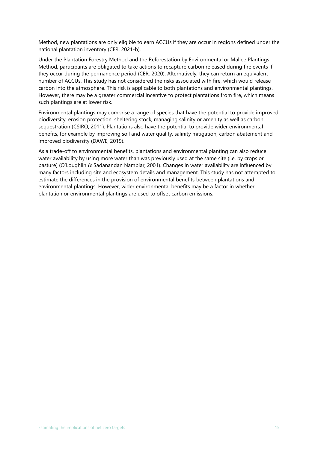Method, new plantations are only eligible to earn ACCUs if they are occur in regions defined under the national plantation inventory (CER, 2021-b).

Under the Plantation Forestry Method and the Reforestation by Environmental or Mallee Plantings Method, participants are obligated to take actions to recapture carbon released during fire events if they occur during the permanence period (CER, 2020). Alternatively, they can return an equivalent number of ACCUs. This study has not considered the risks associated with fire, which would release carbon into the atmosphere. This risk is applicable to both plantations and environmental plantings. However, there may be a greater commercial incentive to protect plantations from fire, which means such plantings are at lower risk.

Environmental plantings may comprise a range of species that have the potential to provide improved biodiversity, erosion protection, sheltering stock, managing salinity or amenity as well as carbon sequestration (CSIRO, 2011). Plantations also have the potential to provide wider environmental benefits, for example by improving soil and water quality, salinity mitigation, carbon abatement and improved biodiversity (DAWE, 2019).

As a trade-off to environmental benefits, plantations and environmental planting can also reduce water availability by using more water than was previously used at the same site (i.e. by crops or pasture) (O'Loughlin & Sadanandan Nambiar, 2001). Changes in water availability are influenced by many factors including site and ecosystem details and management. This study has not attempted to estimate the differences in the provision of environmental benefits between plantations and environmental plantings. However, wider environmental benefits may be a factor in whether plantation or environmental plantings are used to offset carbon emissions.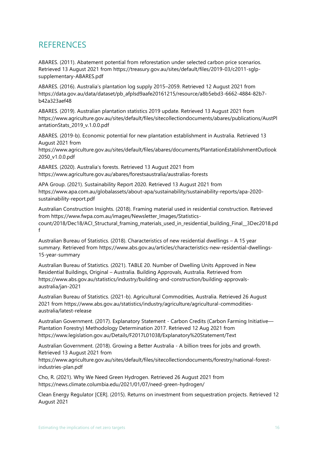### <span id="page-24-0"></span>**REFERENCES**

ABARES. (2011). Abatement potential from reforestation under selected carbon price scenarios. Retrieved 13 August 2021 from https://treasury.gov.au/sites/default/files/2019-03/c2011-sglpsupplementary-ABARES.pdf

ABARES. (2016). Australia's plantation log supply 2015–2059. Retrieved 12 August 2021 from https://data.gov.au/data/dataset/pb\_afplsd9aafe20161215/resource/a8b5ebd3-6662-4884-82b7 b42a323aef48

ABARES. (2019). Australian plantation statistics 2019 update. Retrieved 13 August 2021 from https://www.agriculture.gov.au/sites/default/files/sitecollectiondocuments/abares/publications/AustPl antationStats\_2019\_v.1.0.0.pdf

ABARES. (2019-b). Economic potential for new plantation establishment in Australia. Retrieved 13 August 2021 from

https://www.agriculture.gov.au/sites/default/files/abares/documents/PlantationEstablishmentOutlook 2050\_v1.0.0.pdf

ABARES. (2020). Australia's forests. Retrieved 13 August 2021 from https://www.agriculture.gov.au/abares/forestsaustralia/australias-forests

APA Group. (2021). Sustainability Report 2020. Retrieved 13 August 2021 from https://www.apa.com.au/globalassets/about-apa/sustainability/sustainability-reports/apa-2020 sustainability-report.pdf

Australian Construction Insights. (2018). Framing material used in residential construction. Retrieved from https://www.fwpa.com.au/images/Newsletter\_Images/Statisticscount/2018/Dec18/ACI\_Structural\_framing\_materials\_used\_in\_residential\_building\_Final\_\_3Dec2018.pd f

Australian Bureau of Statistics. (2018). Characteristics of new residential dwellings – A 15 year summary. Retrieved from https://www.abs.gov.au/articles/characteristics-new-residential-dwellings-15-year-summary

Australian Bureau of Statistics. (2021). TABLE 20. Number of Dwelling Units Approved in New Residential Buildings, Original – Australia. Building Approvals, Australia. Retrieved from https://www.abs.gov.au/statistics/industry/building-and-construction/building-approvalsaustralia/jan-2021

Australian Bureau of Statistics. (2021-b). Agricultural Commodities, Australia. Retrieved 26 August 2021 from https://www.abs.gov.au/statistics/industry/agriculture/agricultural-commoditiesaustralia/latest-release

Australian Government. (2017). Explanatory Statement - Carbon Credits (Carbon Farming Initiative— Plantation Forestry) Methodology Determination 2017. Retrieved 12 Aug 2021 from https://www.legislation.gov.au/Details/F2017L01038/Explanatory%20Statement/Text

Australian Government. (2018). Growing a Better Australia - A billion trees for jobs and growth. Retrieved 13 August 2021 from

https://www.agriculture.gov.au/sites/default/files/sitecollectiondocuments/forestry/national-forestindustries-plan.pdf

Cho, R. (2021). Why We Need Green Hydrogen. Retrieved 26 August 2021 from https://news.climate.columbia.edu/2021/01/07/need-green-hydrogen/

Clean Energy Regulator [CER]. (2015). Returns on investment from sequestration projects. Retrieved 12 August 2021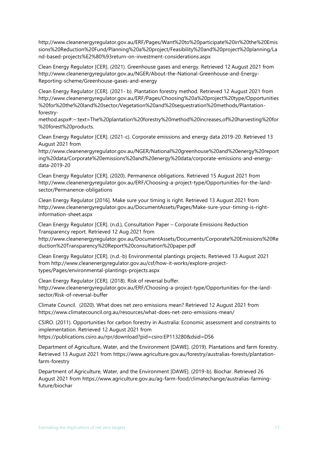http://www.cleanenergyregulator.gov.au/ERF/Pages/Want%20to%20participate%20in%20the%20Emis sions%20Reduction%20Fund/Planning%20a%20project/Feasibility%20and%20project%20planning/La nd-based-projects%E2%80%93return-on-investment-considerations.aspx

Clean Energy Regulator [CER]. (2021). Greenhouse gases and energy. Retrieved 12 August 2021 from http://www.cleanenergyregulator.gov.au/NGER/About-the-National-Greenhouse-and-Energy-Reporting-scheme/Greenhouse-gases-and-energy

Clean Energy Regulator [CER]. (2021- b). Plantation forestry method. Retrieved 12 August 2021 from http://www.cleanenergyregulator.gov.au/ERF/Pages/Choosing%20a%20project%20type/Opportunities %20for%20the%20land%20sector/Vegetation%20and%20sequestration%20methods/Plantationforestry-

method.aspx#:~:text=The%20plantation%20forestry%20method%20increases,of%20harvesting%20for %20forest%20products.

Clean Energy Regulator [CER]. (2021-c). Corporate emissions and energy data 2019-20. Retrieved 13 August 2021 from

http://www.cleanenergyregulator.gov.au/NGER/National%20greenhouse%20and%20energy%20report ing%20data/Corporate%20emissions%20and%20energy%20data/corporate-emissions-and-energydata-2019-20

Clean Energy Regulator [CER]. (2020). Permanence obligations. Retrieved 15 August 2021 from http://www.cleanenergyregulator.gov.au/ERF/Choosing-a-project-type/Opportunities-for-the-landsector/Permanence-obligations

Clean Energy Regulator [2016]. Make sure your timing is right. Retrieved 13 August 2021 from http://www.cleanenergyregulator.gov.au/DocumentAssets/Pages/Make-sure-your-timing-is-rightinformation-sheet.aspx

Clean Energy Regulator [CER]. (n.d.), Consultation Paper – Corporate Emissions Reduction Transparency report. Retrieved 12 Aug 2021 from

http://www.cleanenergyregulator.gov.au/DocumentAssets/Documents/Corporate%20Emissions%20Re duction%20Transparency%20Report%20consultation%20paper.pdf

Clean Energy Regulator [CER]. (n.d.-b) Environmental plantings projects. Retrieved 13 August 2021 from http://www.cleanenergyregulator.gov.au/csf/how-it-works/explore-projecttypes/Pages/environmental-plantings-projects.aspx

Clean Energy Regulator [CER]. (2018). Risk of reversal buffer. http://www.cleanenergyregulator.gov.au/ERF/Choosing-a-project-type/Opportunities-for-the-landsector/Risk-of-reversal-buffer

Climate Council. (2020). What does net zero emissions mean? Retrieved 12 August 2021 from https://www.climatecouncil.org.au/resources/what-does-net-zero-emissions-mean/

CSIRO. (2011). Opportunities for carbon forestry in Australia: Economic assessment and constraints to implementation. Retrieved 12 August 2021 from https://publications.csiro.au/rpr/download?pid=csiro:EP113280&dsid=DS6

Department of Agriculture, Water, and the Environment [DAWE]. (2019). Plantations and farm forestry. Retrieved 13 August 2021 from https://www.agriculture.gov.au/forestry/australias-forests/plantationfarm-forestry

Department of Agriculture, Water, and the Environment [DAWE]. (2019-b). Biochar. Retrieved 26 August 2021 from https://www.agriculture.gov.au/ag-farm-food/climatechange/australias-farmingfuture/biochar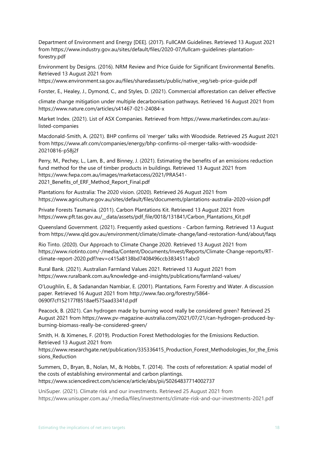Department of Environment and Energy [DEE]. (2017). FullCAM Guidelines. Retrieved 13 August 2021 from https://www.industry.gov.au/sites/default/files/2020-07/fullcam-guidelines-plantationforestry.pdf

Environment by Designs. (2016). NRM Review and Price Guide for Significant Environmental Benefits. Retrieved 13 August 2021 from

https://www.environment.sa.gov.au/files/sharedassets/public/native\_veg/seb-price-guide.pdf

Forster, E., Healey, J., Dymond, C., and Styles, D. (2021). Commercial afforestation can deliver effective

climate change mitigation under multiple decarbonisation pathways. Retrieved 16 August 2021 from https://www.nature.com/articles/s41467-021-24084-x

Market Index. (2021). List of ASX Companies. Retrieved from https://www.marketindex.com.au/asxlisted-companies

Macdonald-Smith, A. (2021). BHP confirms oil 'merger' talks with Woodside. Retrieved 25 August 2021 from https://www.afr.com/companies/energy/bhp-confirms-oil-merger-talks-with-woodside-20210816-p58j2f

Perry, M., Pechey, L., Lam, B., and Binney, J. (2021). Estimating the benefits of an emissions reduction fund method for the use of timber products in buildings. Retrieved 13 August 2021 from https://www.fwpa.com.au/images/marketaccess/2021/PRA541- 2021\_Benefits\_of\_ERF\_Method\_Report\_Final.pdf

Plantations for Australia: The 2020 vision. (2020). Retrieved 26 August 2021 from https://www.agriculture.gov.au/sites/default/files/documents/plantations-australia-2020-vision.pdf

Private Forests Tasmania. (2011). Carbon Plantations Kit. Retrieved 13 August 2021 from https://www.pft.tas.gov.au/\_\_data/assets/pdf\_file/0018/131841/Carbon\_Plantations\_Kit.pdf

Queensland Government. (2021). Frequently asked questions - Carbon farming. Retrieved 13 August from https://www.qld.gov.au/environment/climate/climate-change/land-restoration-fund/about/faqs

Rio Tinto. (2020). Our Approach to Climate Change 2020. Retrieved 13 August 2021 from https://www.riotinto.com/-/media/Content/Documents/Invest/Reports/Climate-Change-reports/RTclimate-report-2020.pdf?rev=c415a8138bd7408496ccb3834511abc0

Rural Bank. (2021). Australian Farmland Values 2021. Retrieved 13 August 2021 from https://www.ruralbank.com.au/knowledge-and-insights/publications/farmland-values/

O'Loughlin, E., & Sadanandan Nambiar, E. (2001). Plantations, Farm Forestry and Water. A discussion paper. Retrieved 16 August 2021 from http://www.fao.org/forestry/5864- 0690f7cf152177f8518aef575aad3341d.pdf

Peacock, B. (2021). Can hydrogen made by burning wood really be considered green? Retrieved 25 August 2021 from https://www.pv-magazine-australia.com/2021/07/21/can-hydrogen-produced-byburning-biomass-really-be-considered-green/

Smith, H. & Ximenes, F. (2019). Production Forest Methodologies for the Emissions Reduction. Retrieved 13 August 2021 from

https://www.researchgate.net/publication/335336415\_Production\_Forest\_Methodologies\_for\_the\_Emis sions Reduction

Summers, D., Bryan, B., Nolan, M., & Hobbs, T. (2014). The costs of reforestation: A spatial model of the costs of establishing environmental and carbon plantings. https://www.sciencedirect.com/science/article/abs/pii/S0264837714002737

UniSuper. (2021). Climate risk and our investments. Retrieved 25 August 2021 from https://www.unisuper.com.au/-/media/files/investments/climate-risk-and-our-investments-2021.pdf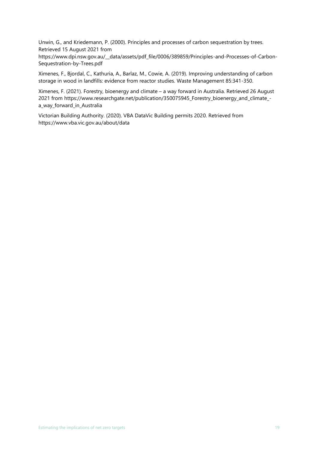Unwin, G., and Kriedemann, P. (2000). Principles and processes of carbon sequestration by trees. Retrieved 15 August 2021 from

https://www.dpi.nsw.gov.au/\_\_data/assets/pdf\_file/0006/389859/Principles-and-Processes-of-Carbon-Sequestration-by-Trees.pdf

Ximenes, F., Bjordal, C., Kathuria, A., Barlaz, M., Cowie, A. (2019). Improving understanding of carbon storage in wood in landfills: evidence from reactor studies. Waste Management 85:341-350.

Ximenes, F. (2021). Forestry, bioenergy and climate – a way forward in Australia. Retrieved 26 August 2021 from https://www.researchgate.net/publication/350075945\_Forestry\_bioenergy\_and\_climate\_ a\_way\_forward\_in\_Australia

Victorian Building Authority. (2020). VBA DataVic Building permits 2020. Retrieved from https://www.vba.vic.gov.au/about/data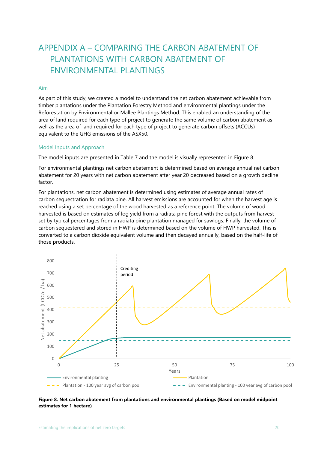## <span id="page-28-0"></span>APPENDIX A – COMPARING THE CARBON ABATEMENT OF PLANTATIONS WITH CARBON ABATEMENT OF ENVIRONMENTAL PLANTINGS

#### <span id="page-28-1"></span>Aim

As part of this study, we created a model to understand the net carbon abatement achievable from timber plantations under the Plantation Forestry Method and environmental plantings under the Reforestation by Environmental or Mallee Plantings Method. This enabled an understanding of the area of land required for each type of project to generate the same volume of carbon abatement as well as the area of land required for each type of project to generate carbon offsets (ACCUs) equivalent to the GHG emissions of the ASX50.

#### <span id="page-28-2"></span>Model Inputs and Approach

The model inputs are presented in [Table 7](#page-29-0) and the model is visually represented in [Figure 8.](#page-28-3)

For environmental plantings net carbon abatement is determined based on average annual net carbon abatement for 20 years with net carbon abatement after year 20 decreased based on a growth decline factor.

For plantations, net carbon abatement is determined using estimates of average annual rates of carbon sequestration for radiata pine. All harvest emissions are accounted for when the harvest age is reached using a set percentage of the wood harvested as a reference point. The volume of wood harvested is based on estimates of log yield from a radiata pine forest with the outputs from harvest set by typical percentages from a radiata pine plantation managed for sawlogs. Finally, the volume of carbon sequestered and stored in HWP is determined based on the volume of HWP harvested. This is converted to a carbon dioxide equivalent volume and then decayed annually, based on the half-life of those products.



#### <span id="page-28-3"></span>**Figure 8. Net carbon abatement from plantations and environmental plantings (Based on model midpoint estimates for 1 hectare)**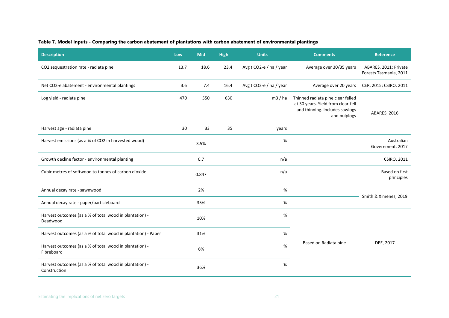#### **Table 7. Model Inputs - Comparing the carbon abatement of plantations with carbon abatement of environmental plantings**

<span id="page-29-0"></span>

| <b>Description</b>                                                      | Low  | <b>Mid</b> | <b>High</b> | <b>Units</b>            | <b>Comments</b>                                                                                                           | <b>Reference</b>                                |  |
|-------------------------------------------------------------------------|------|------------|-------------|-------------------------|---------------------------------------------------------------------------------------------------------------------------|-------------------------------------------------|--|
| CO2 sequestration rate - radiata pine                                   | 13.7 | 18.6       | 23.4        | Avg t CO2-e / ha / year | Average over 30/35 years                                                                                                  | ABARES, 2011; Private<br>Forests Tasmania, 2011 |  |
| Net CO2-e abatement - environmental plantings                           | 3.6  | 7.4        | 16.4        | Avg t CO2-e / ha / year | Average over 20 years                                                                                                     | CER, 2015; CSIRO, 2011                          |  |
| Log yield - radiata pine                                                | 470  | 550        | 630         | m3/ha                   | Thinned radiata pine clear felled<br>at 30 years. Yield from clear-fell<br>and thinning. Includes sawlogs<br>and pulplogs | <b>ABARES, 2016</b>                             |  |
| Harvest age - radiata pine                                              | 30   | 33         | 35          | years                   |                                                                                                                           |                                                 |  |
| Harvest emissions (as a % of CO2 in harvested wood)                     |      | 3.5%       |             | %                       |                                                                                                                           | Australian<br>Government, 2017                  |  |
| Growth decline factor - environmental planting                          |      | 0.7        |             | n/a                     |                                                                                                                           | CSIRO, 2011                                     |  |
| Cubic metres of softwood to tonnes of carbon dioxide                    |      | 0.847      |             | n/a                     |                                                                                                                           | Based on first<br>principles                    |  |
| Annual decay rate - sawnwood                                            |      | 2%         |             | %                       |                                                                                                                           |                                                 |  |
| Annual decay rate - paper/particleboard                                 | 35%  |            | %           |                         | Smith & Ximenes, 2019                                                                                                     |                                                 |  |
| Harvest outcomes (as a % of total wood in plantation) -<br>Deadwood     |      | 10%        |             | %                       |                                                                                                                           |                                                 |  |
| Harvest outcomes (as a % of total wood in plantation) - Paper           |      | 31%        |             | %                       |                                                                                                                           |                                                 |  |
| Harvest outcomes (as a % of total wood in plantation) -<br>Fibreboard   |      | 6%         |             | %                       | Based on Radiata pine                                                                                                     | DEE, 2017                                       |  |
| Harvest outcomes (as a % of total wood in plantation) -<br>Construction |      | 36%        |             | %                       |                                                                                                                           |                                                 |  |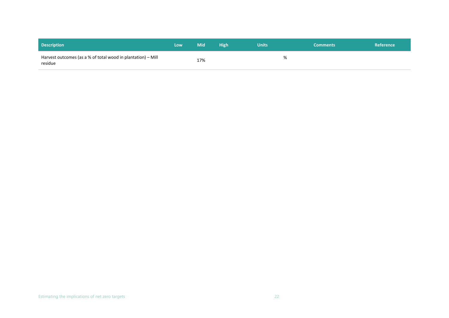| <b>Description</b>                                                      | Low | <b>Mid</b> | <b>High</b> | <b>Units</b> | <b>Comments</b> | Reference |
|-------------------------------------------------------------------------|-----|------------|-------------|--------------|-----------------|-----------|
| Harvest outcomes (as a % of total wood in plantation) – Mill<br>residue |     | 17%        |             |              |                 |           |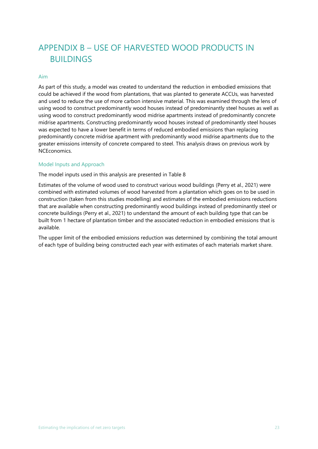## <span id="page-31-0"></span>APPENDIX B – USE OF HARVESTED WOOD PRODUCTS IN BUILDINGS

#### <span id="page-31-1"></span>Aim

As part of this study, a model was created to understand the reduction in embodied emissions that could be achieved if the wood from plantations, that was planted to generate ACCUs, was harvested and used to reduce the use of more carbon intensive material. This was examined through the lens of using wood to construct predominantly wood houses instead of predominantly steel houses as well as using wood to construct predominantly wood midrise apartments instead of predominantly concrete midrise apartments. Constructing predominantly wood houses instead of predominantly steel houses was expected to have a lower benefit in terms of reduced embodied emissions than replacing predominantly concrete midrise apartment with predominantly wood midrise apartments due to the greater emissions intensity of concrete compared to steel. This analysis draws on previous work by NCEconomics.

#### <span id="page-31-2"></span>Model Inputs and Approach

The model inputs used in this analysis are presented in [Table 8](#page-32-0)

Estimates of the volume of wood used to construct various wood buildings (Perry et al., 2021) were combined with estimated volumes of wood harvested from a plantation which goes on to be used in construction (taken from this studies modelling) and estimates of the embodied emissions reductions that are available when constructing predominantly wood buildings instead of predominantly steel or concrete buildings (Perry et al., 2021) to understand the amount of each building type that can be built from 1 hectare of plantation timber and the associated reduction in embodied emissions that is available.

The upper limit of the embodied emissions reduction was determined by combining the total amount of each type of building being constructed each year with estimates of each materials market share.